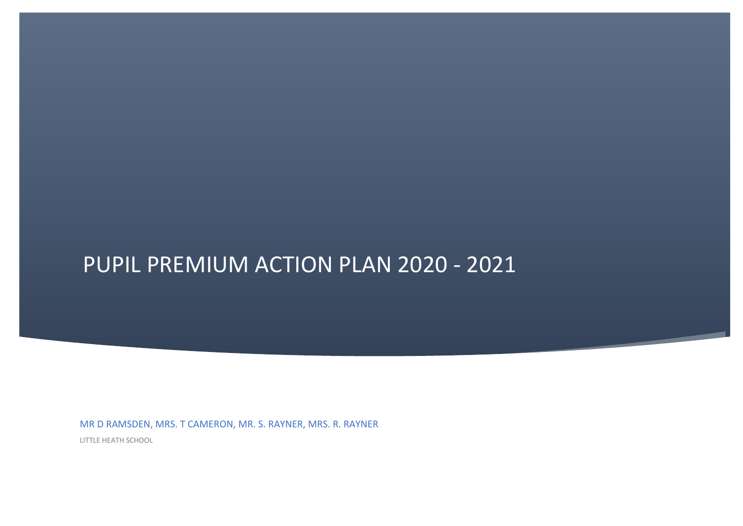## PUPIL PREMIUM ACTION PLAN 2020 - 2021

MR D RAMSDEN, MRS. T CAMERON, MR. S. RAYNER, MRS. R. RAYNER

LITTLE HEATH SCHOOL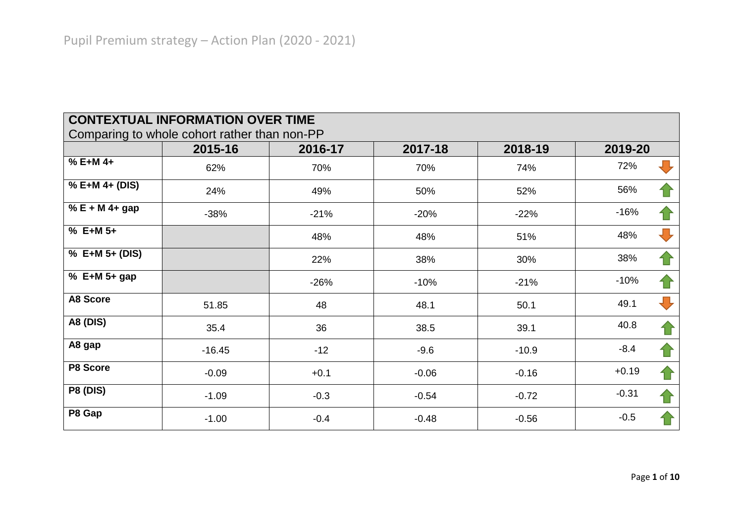|                   | <b>CONTEXTUAL INFORMATION OVER TIME</b>                 |         |         |         |                                |
|-------------------|---------------------------------------------------------|---------|---------|---------|--------------------------------|
|                   | Comparing to whole cohort rather than non-PP<br>2015-16 | 2016-17 | 2017-18 | 2018-19 | 2019-20                        |
| % E+M 4+          | 62%                                                     | 70%     | 70%     | 74%     | 72%                            |
| % E+M 4+ (DIS)    | 24%                                                     | 49%     | 50%     | 52%     | 56%                            |
| $% E + M 4 + gap$ | $-38%$                                                  | $-21%$  | $-20%$  | $-22%$  | $-16%$                         |
| $% E+M 5+$        |                                                         | 48%     | 48%     | 51%     | $\overline{\mathbf{u}}$<br>48% |
| % E+M 5+ (DIS)    |                                                         | 22%     | 38%     | 30%     | 38%                            |
| % E+M $5+$ gap    |                                                         | $-26%$  | $-10%$  | $-21%$  | $-10%$                         |
| <b>A8 Score</b>   | 51.85                                                   | 48      | 48.1    | 50.1    | 49.1                           |
| <b>A8 (DIS)</b>   | 35.4                                                    | 36      | 38.5    | 39.1    | 40.8                           |
| A8 gap            | $-16.45$                                                | $-12$   | $-9.6$  | $-10.9$ | $-8.4$                         |
| P8 Score          | $-0.09$                                                 | $+0.1$  | $-0.06$ | $-0.16$ | $+0.19$                        |
| <b>P8 (DIS)</b>   | $-1.09$                                                 | $-0.3$  | $-0.54$ | $-0.72$ | $-0.31$                        |
| P8 Gap            | $-1.00$                                                 | $-0.4$  | $-0.48$ | $-0.56$ | $-0.5$                         |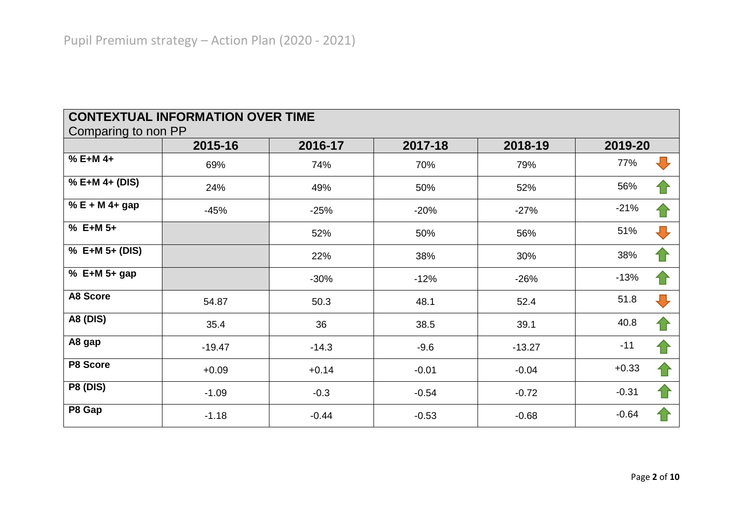| <b>CONTEXTUAL INFORMATION OVER TIME</b><br>Comparing to non PP |          |         |         |          |                                |
|----------------------------------------------------------------|----------|---------|---------|----------|--------------------------------|
|                                                                | 2015-16  | 2016-17 | 2017-18 | 2018-19  | 2019-20                        |
| % E+M 4+                                                       | 69%      | 74%     | 70%     | 79%      | ┺<br>77%                       |
| % E+M 4+ (DIS)                                                 | 24%      | 49%     | 50%     | 52%      | 56%                            |
| % E + M 4+ gap                                                 | $-45%$   | $-25%$  | $-20%$  | $-27%$   | $-21%$                         |
| $% E+M 5+$                                                     |          | 52%     | 50%     | 56%      | 51%<br>$\overline{\mathbf{U}}$ |
| % E+M 5+ (DIS)                                                 |          | 22%     | 38%     | 30%      | 38%<br>1 i                     |
| % E+M 5+ gap                                                   |          | $-30%$  | $-12%$  | $-26%$   | $-13%$<br>1 i                  |
| <b>A8 Score</b>                                                | 54.87    | 50.3    | 48.1    | 52.4     | 51.8<br>$\blacksquare$         |
| <b>A8 (DIS)</b>                                                | 35.4     | 36      | 38.5    | 39.1     | 40.8<br>1                      |
| A8 gap                                                         | $-19.47$ | $-14.3$ | $-9.6$  | $-13.27$ | $-11$                          |
| P8 Score                                                       | $+0.09$  | $+0.14$ | $-0.01$ | $-0.04$  | $+0.33$                        |
| <b>P8 (DIS)</b>                                                | $-1.09$  | $-0.3$  | $-0.54$ | $-0.72$  | $-0.31$                        |
| P8 Gap                                                         | $-1.18$  | $-0.44$ | $-0.53$ | $-0.68$  | $-0.64$                        |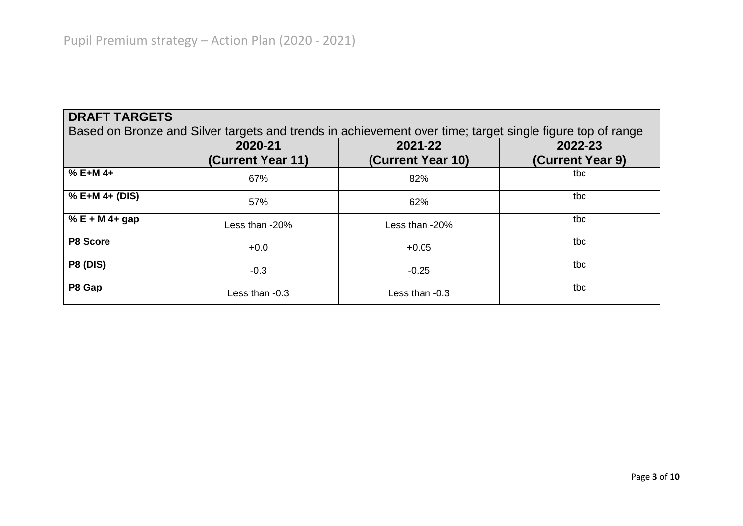| <b>DRAFT TARGETS</b> |                   |                                                                                                           |                  |
|----------------------|-------------------|-----------------------------------------------------------------------------------------------------------|------------------|
|                      |                   | Based on Bronze and Silver targets and trends in achievement over time; target single figure top of range |                  |
|                      | 2020-21           | 2021-22                                                                                                   | 2022-23          |
|                      | (Current Year 11) | (Current Year 10)                                                                                         | (Current Year 9) |
| $% E+M 4+$           | 67%               | 82%                                                                                                       | tbc              |
| $% E+M 4+ (DIS)$     | 57%               | 62%                                                                                                       | tbc              |
| % $E + M$ 4+ gap     | Less than -20%    | Less than -20%                                                                                            | tbc              |
| P8 Score             | $+0.0$            | $+0.05$                                                                                                   | tbc              |
| <b>P8 (DIS)</b>      | $-0.3$            | $-0.25$                                                                                                   | tbc              |
| P8 Gap               | Less than -0.3    | Less than -0.3                                                                                            | tbc              |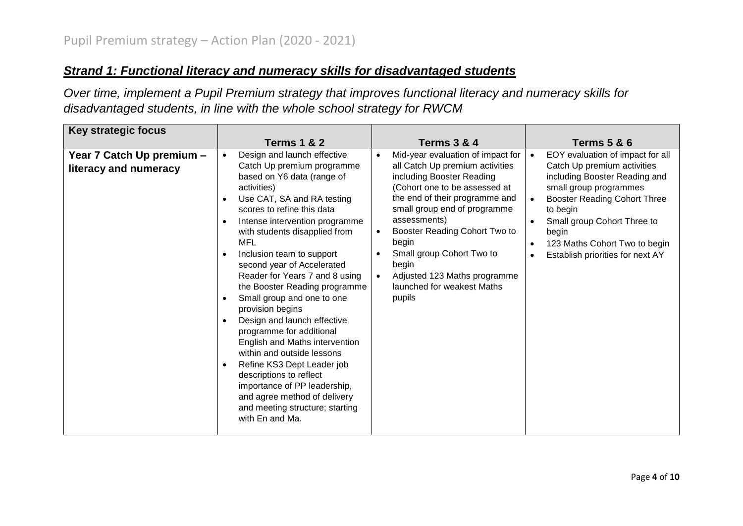## *Strand 1: Functional literacy and numeracy skills for disadvantaged students*

*Over time, implement a Pupil Premium strategy that improves functional literacy and numeracy skills for disadvantaged students, in line with the whole school strategy for RWCM*

| <b>Key strategic focus</b>                         |                                                                                                                                                                                                                                                                                                                                                                                                                                                                                                                                                                                                                                                                                                                                                                                                                                   |                                                                                                                                                                                                                                                                                                                                                                                                                     |                                                                                                                                                                                                                                                                                                         |
|----------------------------------------------------|-----------------------------------------------------------------------------------------------------------------------------------------------------------------------------------------------------------------------------------------------------------------------------------------------------------------------------------------------------------------------------------------------------------------------------------------------------------------------------------------------------------------------------------------------------------------------------------------------------------------------------------------------------------------------------------------------------------------------------------------------------------------------------------------------------------------------------------|---------------------------------------------------------------------------------------------------------------------------------------------------------------------------------------------------------------------------------------------------------------------------------------------------------------------------------------------------------------------------------------------------------------------|---------------------------------------------------------------------------------------------------------------------------------------------------------------------------------------------------------------------------------------------------------------------------------------------------------|
|                                                    | <b>Terms 1 &amp; 2</b>                                                                                                                                                                                                                                                                                                                                                                                                                                                                                                                                                                                                                                                                                                                                                                                                            | <b>Terms 3 &amp; 4</b>                                                                                                                                                                                                                                                                                                                                                                                              | <b>Terms 5 &amp; 6</b>                                                                                                                                                                                                                                                                                  |
| Year 7 Catch Up premium -<br>literacy and numeracy | Design and launch effective<br>$\bullet$<br>Catch Up premium programme<br>based on Y6 data (range of<br>activities)<br>Use CAT, SA and RA testing<br>$\bullet$<br>scores to refine this data<br>Intense intervention programme<br>$\bullet$<br>with students disapplied from<br>MFL<br>Inclusion team to support<br>$\bullet$<br>second year of Accelerated<br>Reader for Years 7 and 8 using<br>the Booster Reading programme<br>Small group and one to one<br>$\bullet$<br>provision begins<br>Design and launch effective<br>$\bullet$<br>programme for additional<br>English and Maths intervention<br>within and outside lessons<br>Refine KS3 Dept Leader job<br>$\bullet$<br>descriptions to reflect<br>importance of PP leadership,<br>and agree method of delivery<br>and meeting structure; starting<br>with En and Ma. | Mid-year evaluation of impact for<br>$\bullet$<br>all Catch Up premium activities<br>including Booster Reading<br>(Cohort one to be assessed at<br>the end of their programme and<br>small group end of programme<br>assessments)<br>Booster Reading Cohort Two to<br>$\bullet$<br>begin<br>Small group Cohort Two to<br>begin<br>Adjusted 123 Maths programme<br>$\bullet$<br>launched for weakest Maths<br>pupils | EOY evaluation of impact for all<br>$\bullet$<br>Catch Up premium activities<br>including Booster Reading and<br>small group programmes<br><b>Booster Reading Cohort Three</b><br>to begin<br>Small group Cohort Three to<br>begin<br>123 Maths Cohort Two to begin<br>Establish priorities for next AY |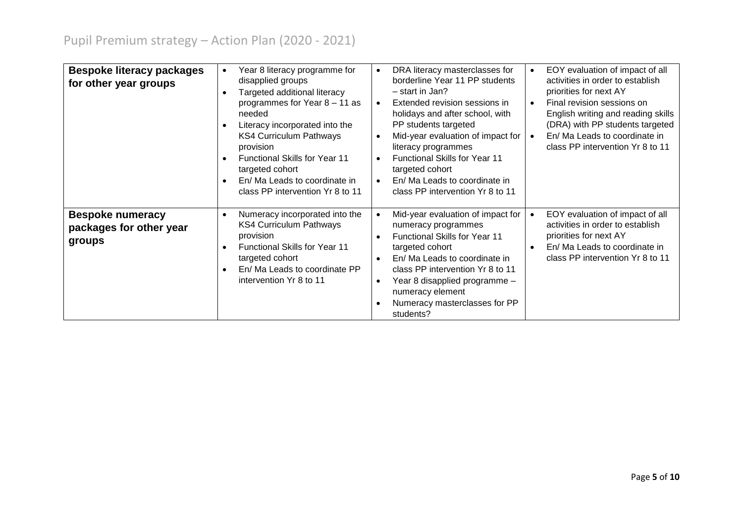| <b>Bespoke literacy packages</b><br>for other year groups    | Year 8 literacy programme for<br>$\bullet$<br>disapplied groups<br>Targeted additional literacy<br>programmes for Year 8 - 11 as<br>needed<br>Literacy incorporated into the<br><b>KS4 Curriculum Pathways</b><br>provision<br><b>Functional Skills for Year 11</b><br>$\bullet$<br>targeted cohort<br>En/ Ma Leads to coordinate in<br>$\bullet$<br>class PP intervention Yr 8 to 11 | DRA literacy masterclasses for<br>$\bullet$<br>borderline Year 11 PP students<br>- start in Jan?<br>Extended revision sessions in<br>$\bullet$<br>holidays and after school, with<br>PP students targeted<br>Mid-year evaluation of impact for<br>literacy programmes<br><b>Functional Skills for Year 11</b><br>targeted cohort<br>En/ Ma Leads to coordinate in<br>$\bullet$<br>class PP intervention Yr 8 to 11 | EOY evaluation of impact of all<br>activities in order to establish<br>priorities for next AY<br>Final revision sessions on<br>English writing and reading skills<br>(DRA) with PP students targeted<br>En/ Ma Leads to coordinate in<br>class PP intervention Yr 8 to 11 |
|--------------------------------------------------------------|---------------------------------------------------------------------------------------------------------------------------------------------------------------------------------------------------------------------------------------------------------------------------------------------------------------------------------------------------------------------------------------|--------------------------------------------------------------------------------------------------------------------------------------------------------------------------------------------------------------------------------------------------------------------------------------------------------------------------------------------------------------------------------------------------------------------|---------------------------------------------------------------------------------------------------------------------------------------------------------------------------------------------------------------------------------------------------------------------------|
| <b>Bespoke numeracy</b><br>packages for other year<br>groups | Numeracy incorporated into the<br>$\bullet$<br><b>KS4 Curriculum Pathways</b><br>provision<br><b>Functional Skills for Year 11</b><br>targeted cohort<br>En/ Ma Leads to coordinate PP<br>$\bullet$<br>intervention Yr 8 to 11                                                                                                                                                        | Mid-year evaluation of impact for<br>$\bullet$<br>numeracy programmes<br>Functional Skills for Year 11<br>targeted cohort<br>En/ Ma Leads to coordinate in<br>class PP intervention Yr 8 to 11<br>Year 8 disapplied programme -<br>numeracy element<br>Numeracy masterclasses for PP<br>students?                                                                                                                  | EOY evaluation of impact of all<br>activities in order to establish<br>priorities for next AY<br>En/ Ma Leads to coordinate in<br>class PP intervention Yr 8 to 11                                                                                                        |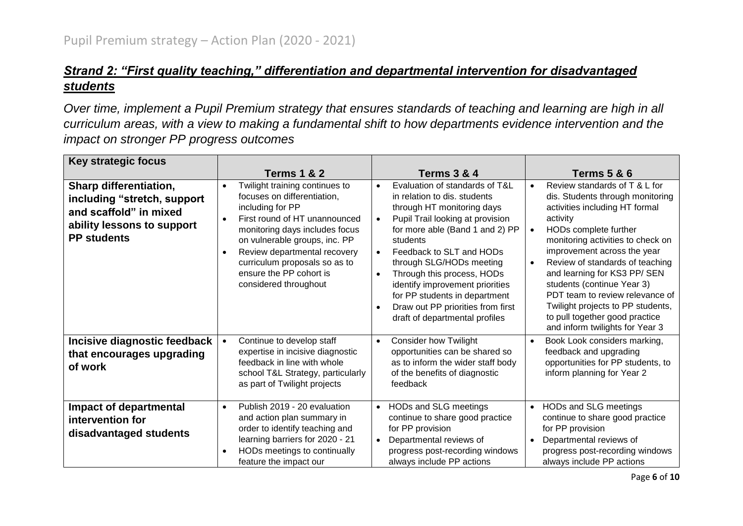## *Strand 2: "First quality teaching," differentiation and departmental intervention for disadvantaged students*

*Over time, implement a Pupil Premium strategy that ensures standards of teaching and learning are high in all curriculum areas, with a view to making a fundamental shift to how departments evidence intervention and the impact on stronger PP progress outcomes*

| Key strategic focus                                                                                                                        |                                                                                                                                                                                                                                                                                                                                      |                                                                                                                                                                                                                                                                                                                                                                                                                                                                      |                                                                                                                                                                                                                                                                                                                                                                                                                                                                         |
|--------------------------------------------------------------------------------------------------------------------------------------------|--------------------------------------------------------------------------------------------------------------------------------------------------------------------------------------------------------------------------------------------------------------------------------------------------------------------------------------|----------------------------------------------------------------------------------------------------------------------------------------------------------------------------------------------------------------------------------------------------------------------------------------------------------------------------------------------------------------------------------------------------------------------------------------------------------------------|-------------------------------------------------------------------------------------------------------------------------------------------------------------------------------------------------------------------------------------------------------------------------------------------------------------------------------------------------------------------------------------------------------------------------------------------------------------------------|
|                                                                                                                                            | <b>Terms 1 &amp; 2</b>                                                                                                                                                                                                                                                                                                               | <b>Terms 3 &amp; 4</b>                                                                                                                                                                                                                                                                                                                                                                                                                                               | <b>Terms 5 &amp; 6</b>                                                                                                                                                                                                                                                                                                                                                                                                                                                  |
| <b>Sharp differentiation,</b><br>including "stretch, support<br>and scaffold" in mixed<br>ability lessons to support<br><b>PP students</b> | Twilight training continues to<br>$\bullet$<br>focuses on differentiation,<br>including for PP<br>First round of HT unannounced<br>monitoring days includes focus<br>on vulnerable groups, inc. PP<br>Review departmental recovery<br>$\bullet$<br>curriculum proposals so as to<br>ensure the PP cohort is<br>considered throughout | Evaluation of standards of T&L<br>$\bullet$<br>in relation to dis. students<br>through HT monitoring days<br>Pupil Trail looking at provision<br>$\bullet$<br>for more able (Band 1 and 2) PP<br>students<br>Feedback to SLT and HODs<br>$\bullet$<br>through SLG/HODs meeting<br>Through this process, HODs<br>$\bullet$<br>identify improvement priorities<br>for PP students in department<br>Draw out PP priorities from first<br>draft of departmental profiles | Review standards of T & L for<br>dis. Students through monitoring<br>activities including HT formal<br>activity<br>HODs complete further<br>monitoring activities to check on<br>improvement across the year<br>Review of standards of teaching<br>$\bullet$<br>and learning for KS3 PP/ SEN<br>students (continue Year 3)<br>PDT team to review relevance of<br>Twilight projects to PP students,<br>to pull together good practice<br>and inform twilights for Year 3 |
| Incisive diagnostic feedback<br>that encourages upgrading<br>of work                                                                       | Continue to develop staff<br>$\bullet$<br>expertise in incisive diagnostic<br>feedback in line with whole<br>school T&L Strategy, particularly<br>as part of Twilight projects                                                                                                                                                       | <b>Consider how Twilight</b><br>$\bullet$<br>opportunities can be shared so<br>as to inform the wider staff body<br>of the benefits of diagnostic<br>feedback                                                                                                                                                                                                                                                                                                        | Book Look considers marking,<br>feedback and upgrading<br>opportunities for PP students, to<br>inform planning for Year 2                                                                                                                                                                                                                                                                                                                                               |
| Impact of departmental<br>intervention for<br>disadvantaged students                                                                       | Publish 2019 - 20 evaluation<br>$\bullet$<br>and action plan summary in<br>order to identify teaching and<br>learning barriers for 2020 - 21<br>HODs meetings to continually<br>$\bullet$<br>feature the impact our                                                                                                                  | HODs and SLG meetings<br>$\bullet$<br>continue to share good practice<br>for PP provision<br>Departmental reviews of<br>$\bullet$<br>progress post-recording windows<br>always include PP actions                                                                                                                                                                                                                                                                    | HODs and SLG meetings<br>$\bullet$<br>continue to share good practice<br>for PP provision<br>Departmental reviews of<br>progress post-recording windows<br>always include PP actions                                                                                                                                                                                                                                                                                    |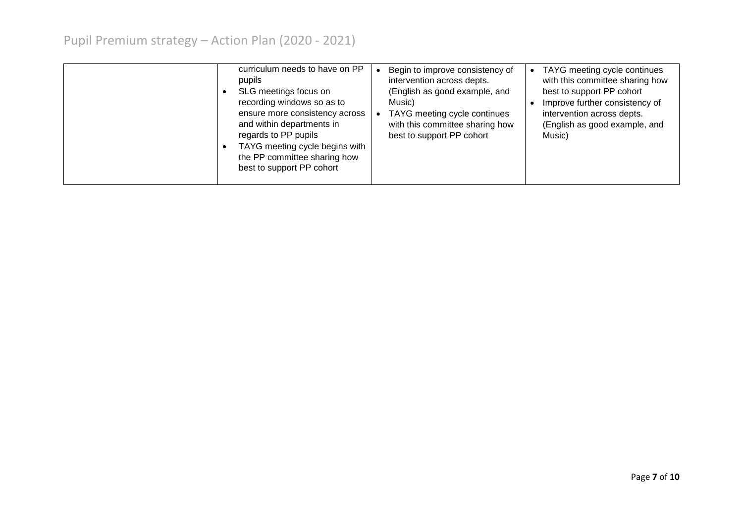| curriculum needs to have on PP<br>pupils<br>SLG meetings focus on<br>$\bullet$<br>recording windows so as to<br>ensure more consistency across<br>and within departments in<br>regards to PP pupils<br>TAYG meeting cycle begins with<br>the PP committee sharing how<br>best to support PP cohort | Begin to improve consistency of<br>intervention across depts.<br>(English as good example, and<br>Music)<br>TAYG meeting cycle continues<br>with this committee sharing how<br>best to support PP cohort | • TAYG meeting cycle continues<br>with this committee sharing how<br>best to support PP cohort<br>Improve further consistency of<br>intervention across depts.<br>(English as good example, and<br>Music) |
|----------------------------------------------------------------------------------------------------------------------------------------------------------------------------------------------------------------------------------------------------------------------------------------------------|----------------------------------------------------------------------------------------------------------------------------------------------------------------------------------------------------------|-----------------------------------------------------------------------------------------------------------------------------------------------------------------------------------------------------------|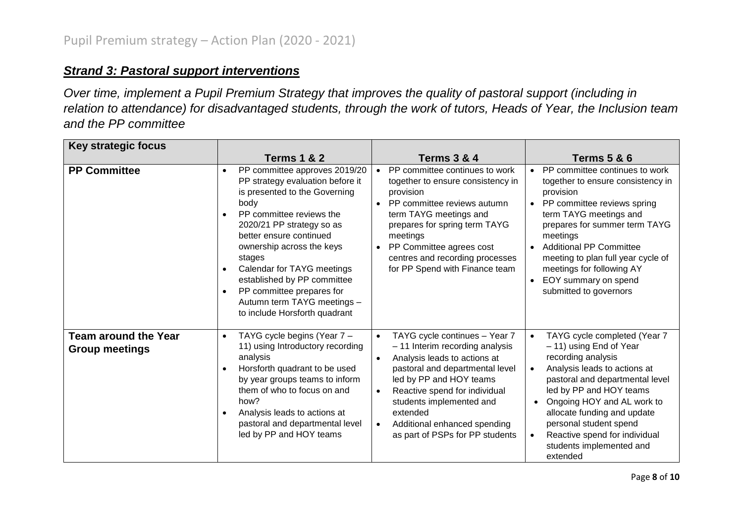## *Strand 3: Pastoral support interventions*

*Over time, implement a Pupil Premium Strategy that improves the quality of pastoral support (including in relation to attendance) for disadvantaged students, through the work of tutors, Heads of Year, the Inclusion team and the PP committee*

| <b>Key strategic focus</b>                           |                                                                                                                                                                                                                                                                                                                                                                                                                           |                                                                                                                                                                                                                                                                                                                                                                |                                                                                                                                                                                                                                                                                                                                                                       |
|------------------------------------------------------|---------------------------------------------------------------------------------------------------------------------------------------------------------------------------------------------------------------------------------------------------------------------------------------------------------------------------------------------------------------------------------------------------------------------------|----------------------------------------------------------------------------------------------------------------------------------------------------------------------------------------------------------------------------------------------------------------------------------------------------------------------------------------------------------------|-----------------------------------------------------------------------------------------------------------------------------------------------------------------------------------------------------------------------------------------------------------------------------------------------------------------------------------------------------------------------|
|                                                      | <b>Terms 1 &amp; 2</b>                                                                                                                                                                                                                                                                                                                                                                                                    | <b>Terms 3 &amp; 4</b>                                                                                                                                                                                                                                                                                                                                         | <b>Terms 5 &amp; 6</b>                                                                                                                                                                                                                                                                                                                                                |
| <b>PP Committee</b>                                  | PP committee approves 2019/20<br>PP strategy evaluation before it<br>is presented to the Governing<br>body<br>PP committee reviews the<br>2020/21 PP strategy so as<br>better ensure continued<br>ownership across the keys<br>stages<br>Calendar for TAYG meetings<br>$\bullet$<br>established by PP committee<br>PP committee prepares for<br>$\bullet$<br>Autumn term TAYG meetings -<br>to include Horsforth quadrant | PP committee continues to work<br>together to ensure consistency in<br>provision<br>PP committee reviews autumn<br>$\bullet$<br>term TAYG meetings and<br>prepares for spring term TAYG<br>meetings<br>PP Committee agrees cost<br>centres and recording processes<br>for PP Spend with Finance team                                                           | • PP committee continues to work<br>together to ensure consistency in<br>provision<br>• PP committee reviews spring<br>term TAYG meetings and<br>prepares for summer term TAYG<br>meetings<br><b>Additional PP Committee</b><br>meeting to plan full year cycle of<br>meetings for following AY<br>EOY summary on spend<br>$\bullet$<br>submitted to governors        |
| <b>Team around the Year</b><br><b>Group meetings</b> | TAYG cycle begins (Year 7 -<br>$\bullet$<br>11) using Introductory recording<br>analysis<br>Horsforth quadrant to be used<br>$\bullet$<br>by year groups teams to inform<br>them of who to focus on and<br>how?<br>Analysis leads to actions at<br>$\bullet$<br>pastoral and departmental level<br>led by PP and HOY teams                                                                                                | TAYG cycle continues - Year 7<br>$\bullet$<br>- 11 Interim recording analysis<br>Analysis leads to actions at<br>$\bullet$<br>pastoral and departmental level<br>led by PP and HOY teams<br>Reactive spend for individual<br>$\bullet$<br>students implemented and<br>extended<br>Additional enhanced spending<br>$\bullet$<br>as part of PSPs for PP students | TAYG cycle completed (Year 7<br>- 11) using End of Year<br>recording analysis<br>Analysis leads to actions at<br>pastoral and departmental level<br>led by PP and HOY teams<br>Ongoing HOY and AL work to<br>$\bullet$<br>allocate funding and update<br>personal student spend<br>Reactive spend for individual<br>$\bullet$<br>students implemented and<br>extended |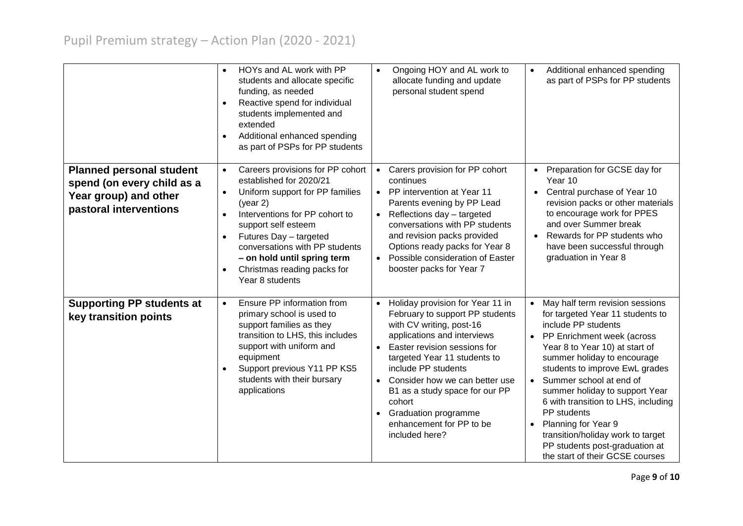|                                                                                                                  | HOYs and AL work with PP<br>$\bullet$<br>students and allocate specific<br>funding, as needed<br>Reactive spend for individual<br>$\bullet$<br>students implemented and<br>extended<br>Additional enhanced spending<br>$\bullet$<br>as part of PSPs for PP students                                                                                                               | Ongoing HOY and AL work to<br>$\bullet$<br>allocate funding and update<br>personal student spend                                                                                                                                                                                                                                                                                                           | Additional enhanced spending<br>$\bullet$<br>as part of PSPs for PP students                                                                                                                                                                                                                                                                                                                                                                                                                                |
|------------------------------------------------------------------------------------------------------------------|-----------------------------------------------------------------------------------------------------------------------------------------------------------------------------------------------------------------------------------------------------------------------------------------------------------------------------------------------------------------------------------|------------------------------------------------------------------------------------------------------------------------------------------------------------------------------------------------------------------------------------------------------------------------------------------------------------------------------------------------------------------------------------------------------------|-------------------------------------------------------------------------------------------------------------------------------------------------------------------------------------------------------------------------------------------------------------------------------------------------------------------------------------------------------------------------------------------------------------------------------------------------------------------------------------------------------------|
| <b>Planned personal student</b><br>spend (on every child as a<br>Year group) and other<br>pastoral interventions | Careers provisions for PP cohort<br>$\bullet$<br>established for 2020/21<br>Uniform support for PP families<br>$\bullet$<br>(year 2)<br>Interventions for PP cohort to<br>$\bullet$<br>support self esteem<br>Futures Day - targeted<br>$\bullet$<br>conversations with PP students<br>- on hold until spring term<br>Christmas reading packs for<br>$\bullet$<br>Year 8 students | Carers provision for PP cohort<br>$\bullet$<br>continues<br>• PP intervention at Year 11<br>Parents evening by PP Lead<br>Reflections day - targeted<br>$\bullet$<br>conversations with PP students<br>and revision packs provided<br>Options ready packs for Year 8<br>Possible consideration of Easter<br>$\bullet$<br>booster packs for Year 7                                                          | Preparation for GCSE day for<br>Year 10<br>Central purchase of Year 10<br>revision packs or other materials<br>to encourage work for PPES<br>and over Summer break<br>Rewards for PP students who<br>have been successful through<br>graduation in Year 8                                                                                                                                                                                                                                                   |
| <b>Supporting PP students at</b><br>key transition points                                                        | Ensure PP information from<br>$\bullet$<br>primary school is used to<br>support families as they<br>transition to LHS, this includes<br>support with uniform and<br>equipment<br>Support previous Y11 PP KS5<br>$\bullet$<br>students with their bursary<br>applications                                                                                                          | Holiday provision for Year 11 in<br>February to support PP students<br>with CV writing, post-16<br>applications and interviews<br>Easter revision sessions for<br>$\bullet$<br>targeted Year 11 students to<br>include PP students<br>Consider how we can better use<br>$\bullet$<br>B1 as a study space for our PP<br>cohort<br><b>Graduation programme</b><br>enhancement for PP to be<br>included here? | May half term revision sessions<br>for targeted Year 11 students to<br>include PP students<br>• PP Enrichment week (across<br>Year 8 to Year 10) at start of<br>summer holiday to encourage<br>students to improve EwL grades<br>Summer school at end of<br>$\bullet$<br>summer holiday to support Year<br>6 with transition to LHS, including<br>PP students<br>Planning for Year 9<br>$\bullet$<br>transition/holiday work to target<br>PP students post-graduation at<br>the start of their GCSE courses |